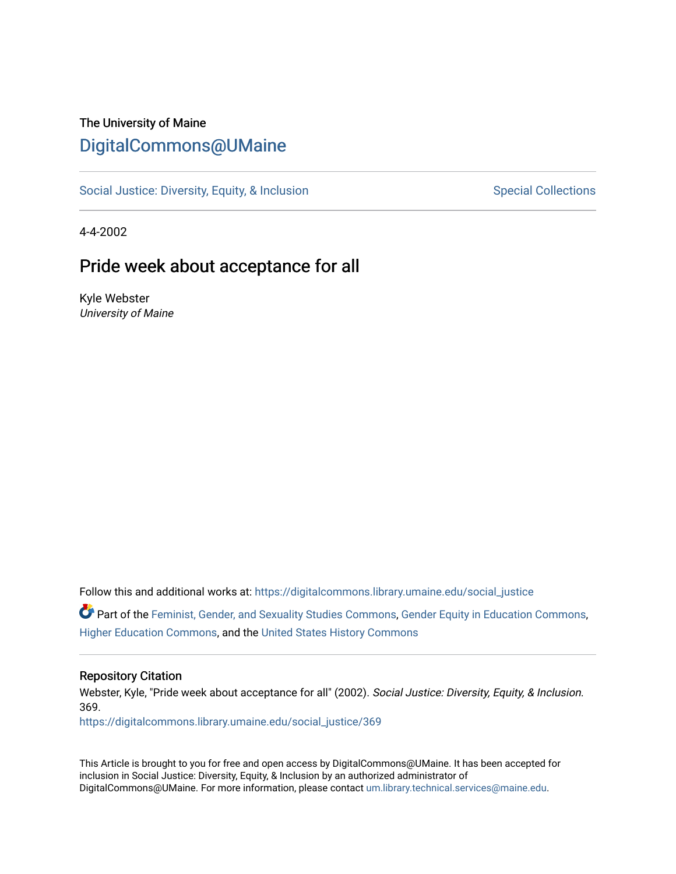## The University of Maine [DigitalCommons@UMaine](https://digitalcommons.library.umaine.edu/)

[Social Justice: Diversity, Equity, & Inclusion](https://digitalcommons.library.umaine.edu/social_justice) [Special Collections](https://digitalcommons.library.umaine.edu/specialcollections) Special Collections

4-4-2002

### Pride week about acceptance for all

Kyle Webster University of Maine

Follow this and additional works at: [https://digitalcommons.library.umaine.edu/social\\_justice](https://digitalcommons.library.umaine.edu/social_justice?utm_source=digitalcommons.library.umaine.edu%2Fsocial_justice%2F369&utm_medium=PDF&utm_campaign=PDFCoverPages) 

Part of the [Feminist, Gender, and Sexuality Studies Commons](http://network.bepress.com/hgg/discipline/559?utm_source=digitalcommons.library.umaine.edu%2Fsocial_justice%2F369&utm_medium=PDF&utm_campaign=PDFCoverPages), [Gender Equity in Education Commons](http://network.bepress.com/hgg/discipline/1376?utm_source=digitalcommons.library.umaine.edu%2Fsocial_justice%2F369&utm_medium=PDF&utm_campaign=PDFCoverPages), [Higher Education Commons,](http://network.bepress.com/hgg/discipline/1245?utm_source=digitalcommons.library.umaine.edu%2Fsocial_justice%2F369&utm_medium=PDF&utm_campaign=PDFCoverPages) and the [United States History Commons](http://network.bepress.com/hgg/discipline/495?utm_source=digitalcommons.library.umaine.edu%2Fsocial_justice%2F369&utm_medium=PDF&utm_campaign=PDFCoverPages)

#### Repository Citation

Webster, Kyle, "Pride week about acceptance for all" (2002). Social Justice: Diversity, Equity, & Inclusion. 369.

[https://digitalcommons.library.umaine.edu/social\\_justice/369](https://digitalcommons.library.umaine.edu/social_justice/369?utm_source=digitalcommons.library.umaine.edu%2Fsocial_justice%2F369&utm_medium=PDF&utm_campaign=PDFCoverPages) 

This Article is brought to you for free and open access by DigitalCommons@UMaine. It has been accepted for inclusion in Social Justice: Diversity, Equity, & Inclusion by an authorized administrator of DigitalCommons@UMaine. For more information, please contact [um.library.technical.services@maine.edu](mailto:um.library.technical.services@maine.edu).